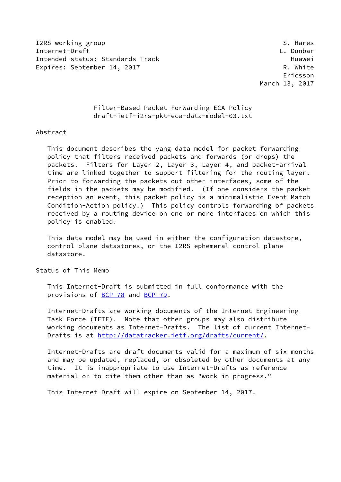I2RS working group states and the set of the set of the set of the set of the set of the set of the set of the set of the set of the set of the set of the set of the set of the set of the set of the set of the set of the s Internet-Draft L. Dunbar Intended status: Standards Track **Example 2018** Huawei Expires: September 14, 2017 R. White

 Ericsson March 13, 2017

> Filter-Based Packet Forwarding ECA Policy draft-ietf-i2rs-pkt-eca-data-model-03.txt

## Abstract

 This document describes the yang data model for packet forwarding policy that filters received packets and forwards (or drops) the packets. Filters for Layer 2, Layer 3, Layer 4, and packet-arrival time are linked together to support filtering for the routing layer. Prior to forwarding the packets out other interfaces, some of the fields in the packets may be modified. (If one considers the packet reception an event, this packet policy is a minimalistic Event-Match Condition-Action policy.) This policy controls forwarding of packets received by a routing device on one or more interfaces on which this policy is enabled.

 This data model may be used in either the configuration datastore, control plane datastores, or the I2RS ephemeral control plane datastore.

Status of This Memo

 This Internet-Draft is submitted in full conformance with the provisions of [BCP 78](https://datatracker.ietf.org/doc/pdf/bcp78) and [BCP 79](https://datatracker.ietf.org/doc/pdf/bcp79).

 Internet-Drafts are working documents of the Internet Engineering Task Force (IETF). Note that other groups may also distribute working documents as Internet-Drafts. The list of current Internet Drafts is at<http://datatracker.ietf.org/drafts/current/>.

 Internet-Drafts are draft documents valid for a maximum of six months and may be updated, replaced, or obsoleted by other documents at any time. It is inappropriate to use Internet-Drafts as reference material or to cite them other than as "work in progress."

This Internet-Draft will expire on September 14, 2017.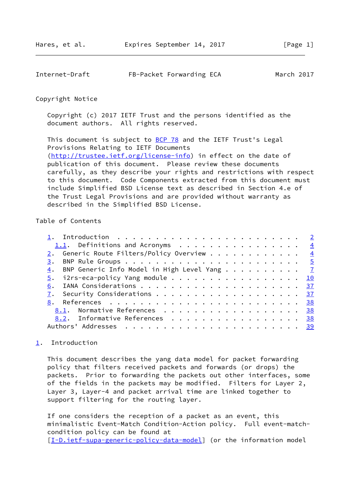<span id="page-1-1"></span>

| Internet-Draft | FB-Packet Forwarding ECA | March 2017 |
|----------------|--------------------------|------------|
|----------------|--------------------------|------------|

## Copyright Notice

 Copyright (c) 2017 IETF Trust and the persons identified as the document authors. All rights reserved.

This document is subject to **[BCP 78](https://datatracker.ietf.org/doc/pdf/bcp78)** and the IETF Trust's Legal Provisions Relating to IETF Documents [\(http://trustee.ietf.org/license-info](http://trustee.ietf.org/license-info)) in effect on the date of publication of this document. Please review these documents carefully, as they describe your rights and restrictions with respect to this document. Code Components extracted from this document must include Simplified BSD License text as described in Section 4.e of the Trust Legal Provisions and are provided without warranty as described in the Simplified BSD License.

# Table of Contents

| 1.1. Definitions and Acronyms 4                                             |  |
|-----------------------------------------------------------------------------|--|
| 2. Generic Route Filters/Policy Overview $\frac{4}{3}$                      |  |
|                                                                             |  |
| $\underline{4}$ . BNP Generic Info Model in High Level Yang $\underline{7}$ |  |
| $\frac{5}{2}$ . i2rs-eca-policy Yang module 10                              |  |
|                                                                             |  |
|                                                                             |  |
|                                                                             |  |
| 8.1. Normative References 38                                                |  |
| 8.2. Informative References 38                                              |  |
|                                                                             |  |
|                                                                             |  |

## <span id="page-1-0"></span>[1](#page-1-0). Introduction

 This document describes the yang data model for packet forwarding policy that filters received packets and forwards (or drops) the packets. Prior to forwarding the packets out other interfaces, some of the fields in the packets may be modified. Filters for Layer 2, Layer 3, Layer-4 and packet arrival time are linked together to support filtering for the routing layer.

 If one considers the reception of a packet as an event, this minimalistic Event-Match Condition-Action policy. Full event-match condition policy can be found at [\[I-D.ietf-supa-generic-policy-data-model](#page-42-4)] (or the information model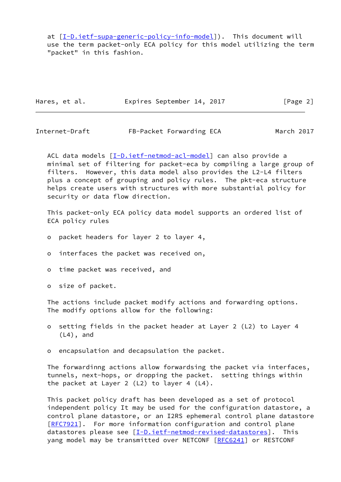at [[I-D.ietf-supa-generic-policy-info-model\]](#page-42-5)). This document will use the term packet-only ECA policy for this model utilizing the term "packet" in this fashion.

| Hares, et al. |  | Expires September 14, 2017 |  | [Page 2] |  |
|---------------|--|----------------------------|--|----------|--|
|---------------|--|----------------------------|--|----------|--|

Internet-Draft FB-Packet Forwarding ECA March 2017

ACL data models [\[I-D.ietf-netmod-acl-model](#page-42-6)] can also provide a minimal set of filtering for packet-eca by compiling a large group of filters. However, this data model also provides the L2-L4 filters plus a concept of grouping and policy rules. The pkt-eca structure helps create users with structures with more substantial policy for security or data flow direction.

 This packet-only ECA policy data model supports an ordered list of ECA policy rules

- o packet headers for layer 2 to layer 4,
- o interfaces the packet was received on,
- o time packet was received, and
- o size of packet.

 The actions include packet modify actions and forwarding options. The modify options allow for the following:

- o setting fields in the packet header at Layer 2 (L2) to Layer 4 (L4), and
- o encapsulation and decapsulation the packet.

 The forwardinng actions allow forwardsing the packet via interfaces, tunnels, next-hops, or dropping the packet. setting things within the packet at Layer 2 (L2) to layer 4 (L4).

 This packet policy draft has been developed as a set of protocol independent policy It may be used for the configuration datastore, a control plane datastore, or an I2RS ephemeral control plane datastore [\[RFC7921](https://datatracker.ietf.org/doc/pdf/rfc7921)]. For more information configuration and control plane datastores please see [[I-D.ietf-netmod-revised-datastores\]](#page-42-7). This yang model may be transmitted over NETCONF [[RFC6241\]](https://datatracker.ietf.org/doc/pdf/rfc6241) or RESTCONF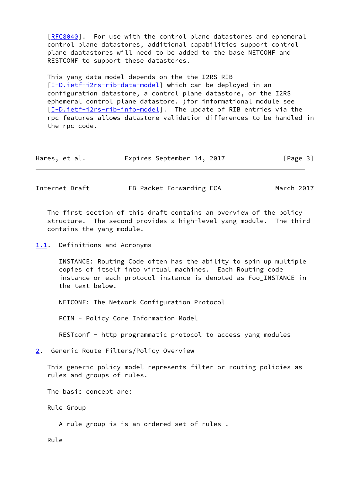[\[RFC8040](https://datatracker.ietf.org/doc/pdf/rfc8040)]. For use with the control plane datastores and ephemeral control plane datastores, additional capabilities support control plane daatastores will need to be added to the base NETCONF and RESTCONF to support these datastores.

 This yang data model depends on the the I2RS RIB [\[I-D.ietf-i2rs-rib-data-model](#page-42-8)] which can be deployed in an configuration datastore, a control plane datastore, or the I2RS ephemeral control plane datastore. )for informational module see [\[I-D.ietf-i2rs-rib-info-model](#page-42-9)]. The update of RIB entries via the rpc features allows datastore validation differences to be handled in the rpc code.

| Hares, et al. |  |  | Expires September 14, 2017 |  |  | [Page 3] |
|---------------|--|--|----------------------------|--|--|----------|
|---------------|--|--|----------------------------|--|--|----------|

<span id="page-3-1"></span>Internet-Draft FB-Packet Forwarding ECA March 2017

 The first section of this draft contains an overview of the policy structure. The second provides a high-level yang module. The third contains the yang module.

<span id="page-3-0"></span>[1.1](#page-3-0). Definitions and Acronyms

 INSTANCE: Routing Code often has the ability to spin up multiple copies of itself into virtual machines. Each Routing code instance or each protocol instance is denoted as Foo\_INSTANCE in the text below.

NETCONF: The Network Configuration Protocol

PCIM - Policy Core Information Model

RESTconf - http programmatic protocol to access yang modules

<span id="page-3-2"></span>[2](#page-3-2). Generic Route Filters/Policy Overview

 This generic policy model represents filter or routing policies as rules and groups of rules.

The basic concept are:

Rule Group

A rule group is is an ordered set of rules .

Rule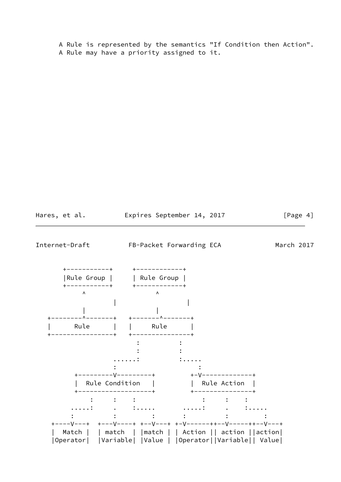A Rule is represented by the semantics "If Condition then Action". A Rule may have a priority assigned to it.

<span id="page-4-0"></span>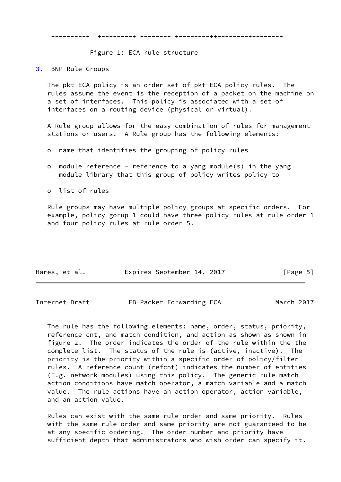+--------+ +--------+ +------+ +--------++--------++------+

Figure 1: ECA rule structure

<span id="page-5-0"></span>[3](#page-5-0). BNP Rule Groups

 The pkt ECA policy is an order set of pkt-ECA policy rules. The rules assume the event is the reception of a packet on the machine on a set of interfaces. This policy is associated with a set of interfaces on a routing device (physical or virtual).

 A Rule group allows for the easy combination of rules for management stations or users. A Rule group has the following elements:

- o name that identifies the grouping of policy rules
- o module reference reference to a yang module(s) in the yang module library that this group of policy writes policy to
- o list of rules

 Rule groups may have multiple policy groups at specific orders. For example, policy gorup 1 could have three policy rules at rule order 1 and four policy rules at rule order 5.

| Hares, et al. | Expires September 14, 2017 |  | [Page 5] |
|---------------|----------------------------|--|----------|
|               |                            |  |          |

Internet-Draft FB-Packet Forwarding ECA March 2017

 The rule has the following elements: name, order, status, priority, reference cnt, and match condition, and action as shown as shown in figure 2. The order indicates the order of the rule within the the complete list. The status of the rule is (active, inactive). The priority is the priority within a specific order of policy/filter rules. A reference count (refcnt) indicates the number of entities (E.g. network modules) using this policy. The generic rule match action conditions have match operator, a match variable and a match value. The rule actions have an action operator, action variable, and an action value.

 Rules can exist with the same rule order and same priority. Rules with the same rule order and same priority are not guaranteed to be at any specific ordering. The order number and priority have sufficient depth that administrators who wish order can specify it.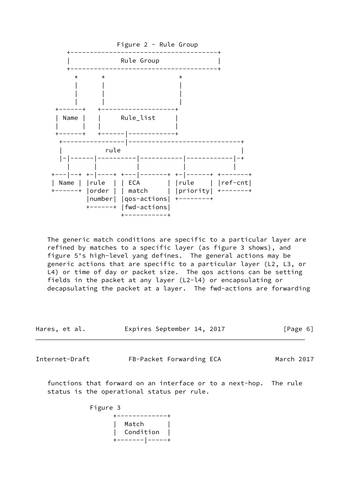

 The generic match conditions are specific to a particular layer are refined by matches to a specific layer (as figure 3 shows), and figure 5's high-level yang defines. The general actions may be generic actions that are specific to a particular layer (L2, L3, or L4) or time of day or packet size. The qos actions can be setting fields in the packet at any layer (L2-l4) or encapsulating or decapsulating the packet at a layer. The fwd-actions are forwarding

| Hares, et al. |  |  | Expires September 14, 2017 |  |  | [Page 6] |
|---------------|--|--|----------------------------|--|--|----------|
|---------------|--|--|----------------------------|--|--|----------|

<span id="page-6-0"></span>Internet-Draft FB-Packet Forwarding ECA March 2017

 functions that forward on an interface or to a next-hop. The rule status is the operational status per rule.

> Figure 3 +-------------+

 | Match | | Condition | +-------|-----+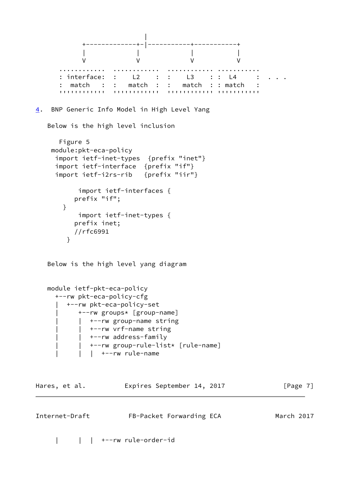```
 |
 +-------------+-|-----------+-----------+
 | | | |
 V V V V
 ............ ............ ............ ...........
      : interface: : L2 : : L3 : : L4 : . . .
      : match : : match : : match : : match :
      '''''''''''' '''''''''''' '''''''''''' '''''''''''
4. BNP Generic Info Model in High Level Yang
   Below is the high level inclusion
      Figure 5
    module:pkt-eca-policy
     import ietf-inet-types {prefix "inet"}
     import ietf-interface {prefix "if"}
     import ietf-i2rs-rib {prefix "iir"}
          import ietf-interfaces {
         prefix "if";
       }
          import ietf-inet-types {
         prefix inet;
         //rfc6991
        }
   Below is the high level yang diagram
   module ietf-pkt-eca-policy
     +--rw pkt-eca-policy-cfg
      | +--rw pkt-eca-policy-set
          | +--rw groups* [group-name]
            | | +--rw group-name string
            | | +--rw vrf-name string
            | | +--rw address-family
             | | +--rw group-rule-list* [rule-name]
            | +--rw rule-name
Hares, et al. Expires September 14, 2017 [Page 7]
Internet-Draft FB-Packet Forwarding ECA March 2017
```
| | | +--rw rule-order-id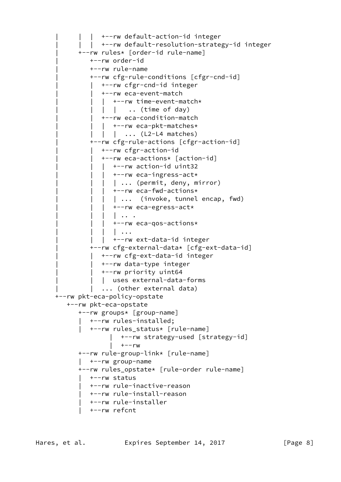```
| +--rw default-action-id integer
         | | | +--rw default-resolution-strategy-id integer
       | +--rw rules* [order-id rule-name]
          | +--rw order-id
          | +--rw rule-name
          | +--rw cfg-rule-conditions [cfgr-cnd-id]
             | | +--rw cfgr-cnd-id integer
             | | +--rw eca-event-match
            | +--rw time-event-match*
             | | .. (time of day)
             | | +--rw eca-condition-match
           | +--rw eca-pkt-matches*
             | | ... (L2-L4 matches)
          | +--rw cfg-rule-actions [cfgr-action-id]
             | | +--rw cfgr-action-id
             | | +--rw eca-actions* [action-id]
               | | | +--rw action-id uint32
             | +--rw eca-ingress-act*
            | | ... (permit, deny, mirror)
             | +--rw eca-fwd-actions*
              | | | | ... (invoke, tunnel encap, fwd)
             | +--rw eca-egress-act*
               | | | | .. .
             | +--rw eca-qos-actions*
                | | | | ...
             | +--rw ext-data-id integer
          | +--rw cfg-external-data* [cfg-ext-data-id]
             | | +--rw cfg-ext-data-id integer
             | | +--rw data-type integer
             | | +--rw priority uint64
           | uses external-data-forms
         | ... (other external data)
 +--rw pkt-eca-policy-opstate
    +--rw pkt-eca-opstate
       +--rw groups* [group-name]
         | +--rw rules-installed;
          | +--rw rules_status* [rule-name]
                | +--rw strategy-used [strategy-id]
               | +--rw
       +--rw rule-group-link* [rule-name]
       | +--rw group-name
       +--rw rules_opstate* [rule-order rule-name]
       | +--rw status
          | +--rw rule-inactive-reason
          | +--rw rule-install-reason
         | +--rw rule-installer
          | +--rw refcnt
```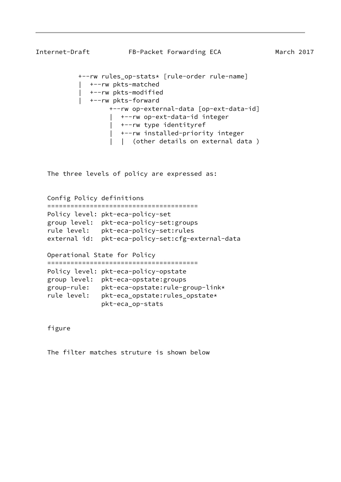```
Internet-Draft FB-Packet Forwarding ECA March 2017
            +--rw rules_op-stats* [rule-order rule-name]
               | +--rw pkts-matched
               | +--rw pkts-modified
               | +--rw pkts-forward
                    +--rw op-external-data [op-ext-data-id]
                       | +--rw op-ext-data-id integer
                       | +--rw type identityref
                       | +--rw installed-priority integer
                       | | (other details on external data )
```
The three levels of policy are expressed as:

 Config Policy definitions ======================================= Policy level: pkt-eca-policy-set group level: pkt-eca-policy-set:groups rule level: pkt-eca-policy-set:rules external id: pkt-eca-policy-set:cfg-external-data

 Operational State for Policy ======================================= Policy level: pkt-eca-policy-opstate group level: pkt-eca-opstate:groups group-rule: pkt-eca-opstate:rule-group-link\* rule level: pkt-eca\_opstate:rules\_opstate\* pkt-eca\_op-stats

figure

The filter matches struture is shown below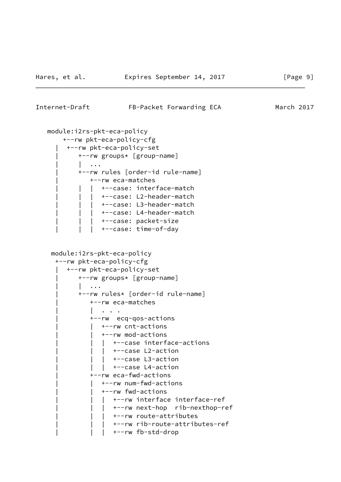#### <span id="page-10-0"></span>Internet-Draft FB-Packet Forwarding ECA March 2017

```
 module:i2rs-pkt-eca-policy
     +--rw pkt-eca-policy-cfg
      | +--rw pkt-eca-policy-set
         | +--rw groups* [group-name]
          | | ...
         | +--rw rules [order-id rule-name]
             | +--rw eca-matches
             +--case: interface-match
            | +--case: L2-header-match
            | +--case: L3-header-match
            | +--case: L4-header-match
              | | | +--case: packet-size
            | +--case: time-of-day
  module:i2rs-pkt-eca-policy
   +--rw pkt-eca-policy-cfg
      | +--rw pkt-eca-policy-set
         | +--rw groups* [group-name]
         | \cdot |...
          | +--rw rules* [order-id rule-name]
             | +--rw eca-matches
               | | . . .
             | +--rw ecq-qos-actions
              | | +--rw cnt-actions
                | | +--rw mod-actions
                  | | | +--case interface-actions
               | +--case L2-action
                   | | | +--case L3-action
               | +--case L4-action
             | +--rw eca-fwd-actions
                | | +--rw num-fwd-actions
                | | +--rw fwd-actions
                | +--rw interface interface-ref
               | +--rw next-hop rib-nexthop-ref
               | +--rw route-attributes
                  | | | +--rw rib-route-attributes-ref
               | +--rw fb-std-drop
```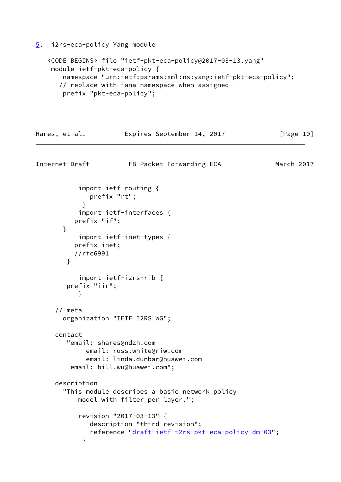<span id="page-11-0"></span>[5](#page-11-0). i2rs-eca-policy Yang module

```
 <CODE BEGINS> file "ietf-pkt-eca-policy@2017-03-13.yang"
 module ietf-pkt-eca-policy {
     namespace "urn:ietf:params:xml:ns:yang:ietf-pkt-eca-policy";
    // replace with iana namespace when assigned
     prefix "pkt-eca-policy";
```

```
Hares, et al. Expires September 14, 2017 [Page 10]
Internet-Draft FB-Packet Forwarding ECA March 2017
           import ietf-routing {
              prefix "rt";
 }
           import ietf-interfaces {
          prefix "if";
       }
           import ietf-inet-types {
          prefix inet;
          //rfc6991
        }
           import ietf-i2rs-rib {
        prefix "iir";
 }
     // meta
       organization "IETF I2RS WG";
     contact
        "email: shares@ndzh.com
             email: russ.white@riw.com
             email: linda.dunbar@huawei.com
         email: bill.wu@huawei.com";
     description
       "This module describes a basic network policy
           model with filter per layer.";
           revision "2017-03-13" {
              description "third revision";
              reference "draft-ietf-i2rs-pkt-eca-policy-dm-03";
 }
```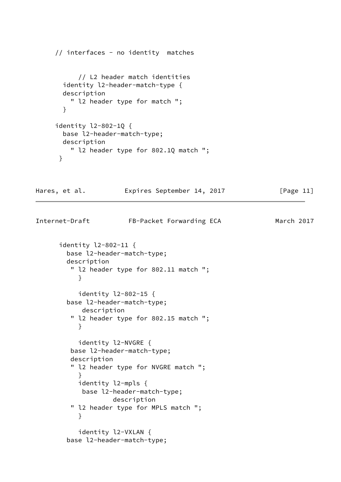```
 // interfaces - no identity matches
           // L2 header match identities
       identity l2-header-match-type {
       description
         " l2 header type for match ";
       }
     identity l2-802-1Q {
       base l2-header-match-type;
       description
         " l2 header type for 802.1Q match ";
      }
Hares, et al. Expires September 14, 2017 [Page 11]
Internet-Draft FB-Packet Forwarding ECA March 2017
      identity l2-802-11 {
        base l2-header-match-type;
        description
         " l2 header type for 802.11 match ";
 }
           identity l2-802-15 {
        base l2-header-match-type;
           description
         " l2 header type for 802.15 match ";
           }
           identity l2-NVGRE {
         base l2-header-match-type;
         description
         " l2 header type for NVGRE match ";
 }
           identity l2-mpls {
           base l2-header-match-type;
                    description
         " l2 header type for MPLS match ";
 }
           identity l2-VXLAN {
        base l2-header-match-type;
```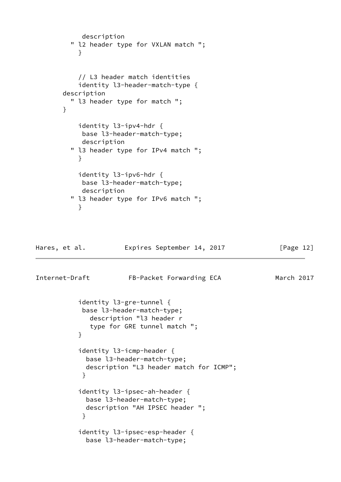```
 description
         " l2 header type for VXLAN match ";
 }
           // L3 header match identities
           identity l3-header-match-type {
       description
         " l3 header type for match ";
       }
           identity l3-ipv4-hdr {
           base l3-header-match-type;
           description
         " l3 header type for IPv4 match ";
 }
           identity l3-ipv6-hdr {
            base l3-header-match-type;
           description
         " l3 header type for IPv6 match ";
 }
Hares, et al. Expires September 14, 2017 [Page 12]
Internet-Draft FB-Packet Forwarding ECA March 2017
           identity l3-gre-tunnel {
            base l3-header-match-type;
              description "l3 header r
              type for GRE tunnel match ";
 }
           identity l3-icmp-header {
             base l3-header-match-type;
             description "L3 header match for ICMP";
 }
           identity l3-ipsec-ah-header {
             base l3-header-match-type;
             description "AH IPSEC header ";
 }
           identity l3-ipsec-esp-header {
```
base l3-header-match-type;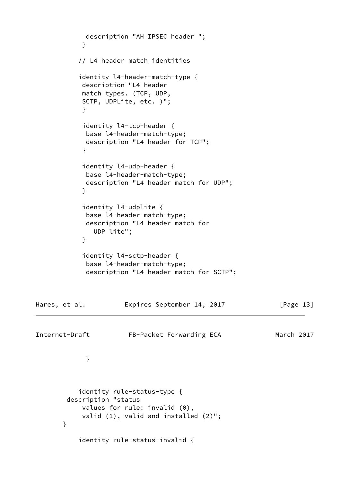```
 description "AH IPSEC header ";
 }
           // L4 header match identities
           identity l4-header-match-type {
            description "L4 header
            match types. (TCP, UDP,
            SCTP, UDPLite, etc. )";
 }
            identity l4-tcp-header {
            base l4-header-match-type;
            description "L4 header for TCP";
 }
            identity l4-udp-header {
            base l4-header-match-type;
            description "L4 header match for UDP";
 }
            identity l4-udplite {
            base l4-header-match-type;
            description "L4 header match for
              UDP lite";
 }
            identity l4-sctp-header {
            base l4-header-match-type;
             description "L4 header match for SCTP";
Hares, et al. Expires September 14, 2017 [Page 13]
Internet-Draft FB-Packet Forwarding ECA March 2017
 }
           identity rule-status-type {
        description "status
            values for rule: invalid (0),
            valid (1), valid and installed (2)";
       }
           identity rule-status-invalid {
```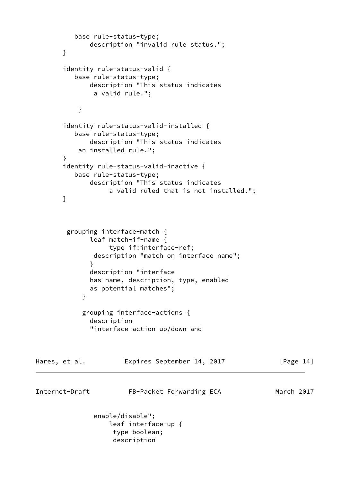```
 base rule-status-type;
              description "invalid rule status.";
       }
       identity rule-status-valid {
          base rule-status-type;
              description "This status indicates
               a valid rule.";
 }
       identity rule-status-valid-installed {
          base rule-status-type;
              description "This status indicates
           an installed rule.";
       }
       identity rule-status-valid-inactive {
          base rule-status-type;
              description "This status indicates
                   a valid ruled that is not installed.";
       }
        grouping interface-match {
              leaf match-if-name {
                   type if:interface-ref;
               description "match on interface name";
 }
              description "interface
              has name, description, type, enabled
              as potential matches";
 }
            grouping interface-actions {
              description
              "interface action up/down and
Hares, et al. Expires September 14, 2017 [Page 14]
Internet-Draft FB-Packet Forwarding ECA March 2017
               enable/disable";
                   leaf interface-up {
                    type boolean;
                    description
```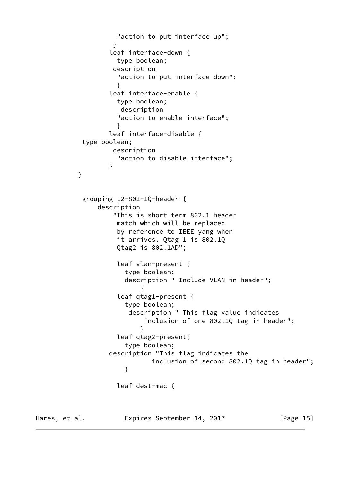```
 "action to put interface up";
 }
                 leaf interface-down {
                   type boolean;
                  description
                   "action to put interface down";
 }
                 leaf interface-enable {
                   type boolean;
                    description
                   "action to enable interface";
 }
                 leaf interface-disable {
           type boolean;
                  description
                   "action to disable interface";
 }
 }
           grouping L2-802-1Q-header {
               description
                  "This is short-term 802.1 header
                   match which will be replaced
                   by reference to IEEE yang when
                   it arrives. Qtag 1 is 802.1Q
                   Qtag2 is 802.1AD";
                   leaf vlan-present {
                     type boolean;
                     description " Include VLAN in header";
 }
                   leaf qtag1-present {
                     type boolean;
                      description " This flag value indicates
                         inclusion of one 802.1Q tag in header";
 }
                   leaf qtag2-present{
                     type boolean;
                 description "This flag indicates the
                           inclusion of second 802.1Q tag in header";
 }
                   leaf dest-mac {
```
Hares, et al. **Expires September 14, 2017** [Page 15]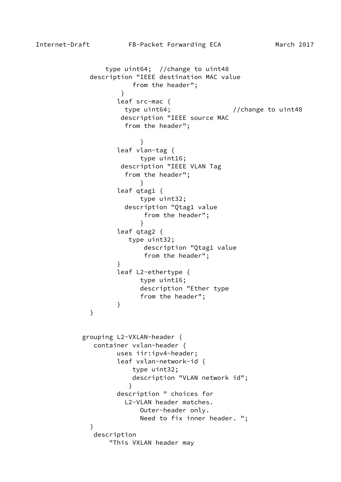```
 type uint64; //change to uint48
            description "IEEE destination MAC value
                     from the header";
 }
                  leaf src-mac {
                   type uint64; // change to unit48 description "IEEE source MAC
                    from the header";
 }
                  leaf vlan-tag {
                       type uint16;
                   description "IEEE VLAN Tag
                    from the header";
 }
                  leaf qtag1 {
                       type uint32;
                    description "Qtag1 value
                        from the header";
 }
                  leaf qtag2 {
                     type uint32;
                        description "Qtag1 value
                        from the header";
 }
                  leaf L2-ethertype {
                       type uint16;
                       description "Ether type
                       from the header";
 }
 }
           grouping L2-VXLAN-header {
             container vxlan-header {
                  uses iir:ipv4-header;
                  leaf vxlan-network-id {
                      type uint32;
                     description "VLAN network id";
 }
                  description " choices for
                    L2-VLAN header matches.
                       Outer-header only.
                       Need to fix inner header. ";
 }
             description
                "This VXLAN header may
```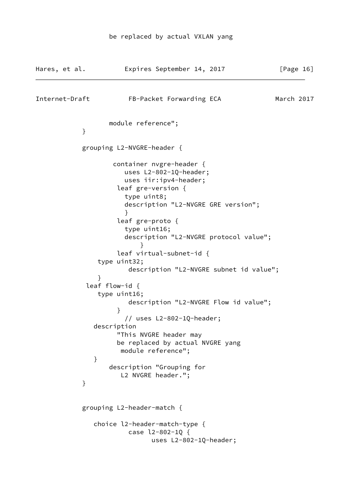| Hares, et al.  | Expires September 14, 2017                                                                                                                                                                                                                                                                                                                                                                                                                                                                                                                                                                                      | [Page 16]  |
|----------------|-----------------------------------------------------------------------------------------------------------------------------------------------------------------------------------------------------------------------------------------------------------------------------------------------------------------------------------------------------------------------------------------------------------------------------------------------------------------------------------------------------------------------------------------------------------------------------------------------------------------|------------|
| Internet-Draft | FB-Packet Forwarding ECA                                                                                                                                                                                                                                                                                                                                                                                                                                                                                                                                                                                        | March 2017 |
| }              | module reference";                                                                                                                                                                                                                                                                                                                                                                                                                                                                                                                                                                                              |            |
|                | grouping L2-NVGRE-header {                                                                                                                                                                                                                                                                                                                                                                                                                                                                                                                                                                                      |            |
| }<br>$\}$      | container nvgre-header {<br>uses L2-802-1Q-header;<br>uses iir:ipv4-header;<br>leaf gre-version {<br>type uint8;<br>description "L2-NVGRE GRE version";<br>$\}$<br>leaf gre-proto {<br>type uint16;<br>description "L2-NVGRE protocol value";<br>leaf virtual-subnet-id {<br>type uint32;<br>description "L2-NVGRE subnet id value";<br>ł<br>leaf flow-id $\{$<br>type uint16;<br>description "L2-NVGRE Flow id value";<br>}<br>// uses L2-802-1Q-header;<br>description<br>"This NVGRE header may<br>be replaced by actual NVGRE yang<br>module reference";<br>description "Grouping for<br>L2 NVGRE header."; |            |
|                | grouping L2-header-match {                                                                                                                                                                                                                                                                                                                                                                                                                                                                                                                                                                                      |            |
|                | choice l2-header-match-type {<br>case l2-802-1Q {<br>uses L2-802-1Q-header;                                                                                                                                                                                                                                                                                                                                                                                                                                                                                                                                     |            |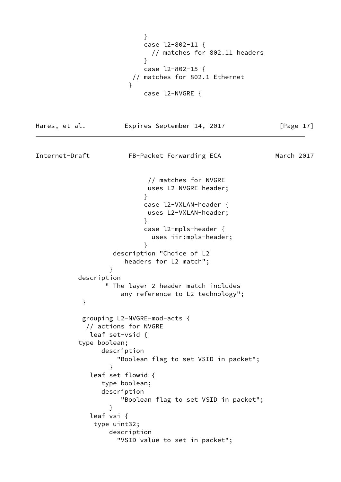```
 }
                       case l2-802-11 {
                        // matches for 802.11 headers
 }
                       case l2-802-15 {
                    // matches for 802.1 Ethernet
 }
                       case l2-NVGRE {
Hares, et al. Expires September 14, 2017 [Page 17]
Internet-Draft FB-Packet Forwarding ECA March 2017
                        // matches for NVGRE
                       uses L2-NVGRE-header;
 }
                       case l2-VXLAN-header {
                       uses L2-VXLAN-header;
 }
                       case l2-mpls-header {
                        uses iir:mpls-header;
 }
                description "Choice of L2
                   headers for L2 match";
 }
         description
               " The layer 2 header match includes
                  any reference to L2 technology";
 }
          grouping L2-NVGRE-mod-acts {
           // actions for NVGRE
            leaf set-vsid {
         type boolean;
              description
                 "Boolean flag to set VSID in packet";
 }
            leaf set-flowid {
              type boolean;
              description
                  "Boolean flag to set VSID in packet";
 }
            leaf vsi {
            type uint32;
                description
                 "VSID value to set in packet";
```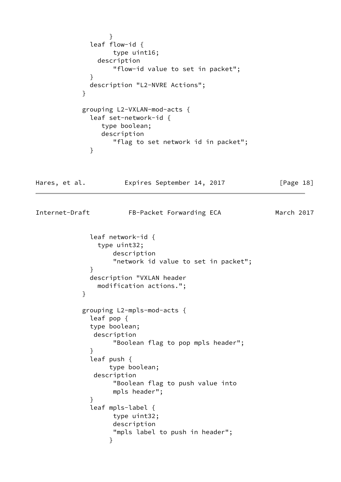```
 }
             leaf flow-id {
                  type uint16;
              description
                  "flow-id value to set in packet";
 }
             description "L2-NVRE Actions";
 }
           grouping L2-VXLAN-mod-acts {
             leaf set-network-id {
               type boolean;
               description
                  "flag to set network id in packet";
 }
Hares, et al. Expires September 14, 2017 [Page 18]
Internet-Draft FB-Packet Forwarding ECA March 2017
             leaf network-id {
              type uint32;
                  description
                  "network id value to set in packet";
 }
             description "VXLAN header
              modification actions.";
 }
           grouping L2-mpls-mod-acts {
             leaf pop {
             type boolean;
              description
                  "Boolean flag to pop mpls header";
 }
             leaf push {
                 type boolean;
              description
                  "Boolean flag to push value into
                  mpls header";
 }
             leaf mpls-label {
                  type uint32;
                  description
                  "mpls label to push in header";
 }
```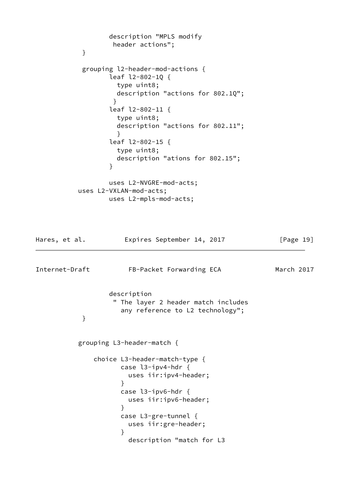```
 description "MPLS modify
                  header actions";
 }
           grouping l2-header-mod-actions {
                 leaf l2-802-1Q {
                  type uint8;
                  description "actions for 802.1Q";
 }
                 leaf l2-802-11 {
                  type uint8;
                  description "actions for 802.11";
 }
                 leaf l2-802-15 {
                  type uint8;
                  description "ations for 802.15";
 }
                 uses L2-NVGRE-mod-acts;
          uses L2-VXLAN-mod-acts;
                 uses L2-mpls-mod-acts;
Hares, et al. Expires September 14, 2017 [Page 19]
Internet-Draft FB-Packet Forwarding ECA March 2017
                 description
                  " The layer 2 header match includes
                   any reference to L2 technology";
 }
          grouping L3-header-match {
             choice L3-header-match-type {
                   case l3-ipv4-hdr {
                     uses iir:ipv4-header;
 }
                   case l3-ipv6-hdr {
                     uses iir:ipv6-header;
 }
                   case L3-gre-tunnel {
                     uses iir:gre-header;
 }
                     description "match for L3
```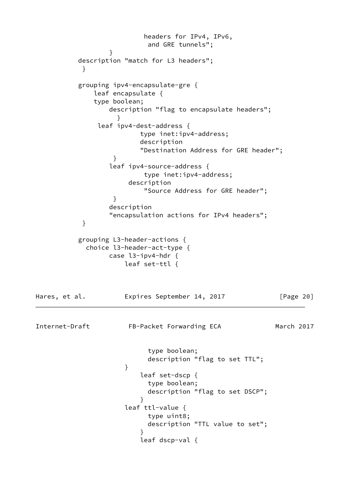```
 headers for IPv4, IPv6,
                         and GRE tunnels";
 }
          description "match for L3 headers";
 }
          grouping ipv4-encapsulate-gre {
             leaf encapsulate {
             type boolean;
                 description "flag to encapsulate headers";
 }
              leaf ipv4-dest-address {
                       type inet:ipv4-address;
                       description
                       "Destination Address for GRE header";
 }
                 leaf ipv4-source-address {
                        type inet:ipv4-address;
                     description
                        "Source Address for GRE header";
 }
                 description
                 "encapsulation actions for IPv4 headers";
 }
          grouping L3-header-actions {
           choice l3-header-act-type {
                 case l3-ipv4-hdr {
                    leaf set-ttl {
Hares, et al. Expires September 14, 2017 [Page 20]
Internet-Draft FB-Packet Forwarding ECA March 2017
                         type boolean;
                         description "flag to set TTL";
 }
                       leaf set-dscp {
                         type boolean;
                         description "flag to set DSCP";
 }
                    leaf ttl-value {
                         type uint8;
                         description "TTL value to set";
 }
                       leaf dscp-val {
```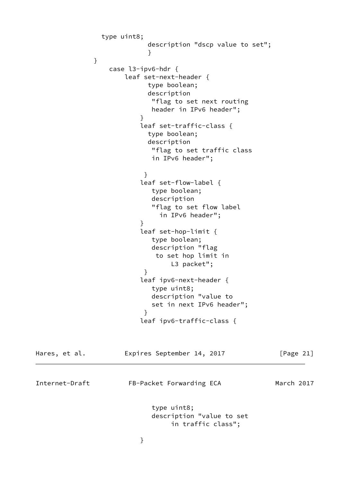```
 type uint8;
                        description "dscp value to set";
 }
 }
                case l3-ipv6-hdr {
                   leaf set-next-header {
                        type boolean;
                        description
                         "flag to set next routing
                         header in IPv6 header";
 }
                       leaf set-traffic-class {
                        type boolean;
                        description
                         "flag to set traffic class
                         in IPv6 header";
 }
                       leaf set-flow-label {
                         type boolean;
                         description
                         "flag to set flow label
                           in IPv6 header";
 }
                       leaf set-hop-limit {
                         type boolean;
                         description "flag
                          to set hop limit in
                             L3 packet";
 }
                       leaf ipv6-next-header {
                         type uint8;
                         description "value to
                         set in next IPv6 header";
 }
                       leaf ipv6-traffic-class {
Hares, et al.           Expires September 14, 2017           [Page 21]
Internet-Draft FB-Packet Forwarding ECA March 2017
                         type uint8;
                         description "value to set
                             in traffic class";
 }
```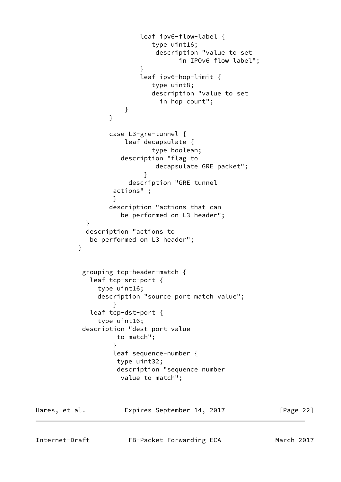```
 leaf ipv6-flow-label {
                          type uint16;
                           description "value to set
                                in IPOv6 flow label";
 }
                        leaf ipv6-hop-limit {
                          type uint8;
                          description "value to set
                            in hop count";
 }
 }
                 case L3-gre-tunnel {
                    leaf decapsulate {
                          type boolean;
                   description "flag to
                           decapsulate GRE packet";
 }
                     description "GRE tunnel
                  actions" ;
 }
                 description "actions that can
                   be performed on L3 header";
 }
           description "actions to
            be performed on L3 header";
 }
           grouping tcp-header-match {
            leaf tcp-src-port {
              type uint16;
              description "source port match value";
 }
            leaf tcp-dst-port {
              type uint16;
           description "dest port value
                  to match";
 }
                  leaf sequence-number {
                  type uint32;
                  description "sequence number
                   value to match";
```
Hares, et al. **Expires September 14, 2017** [Page 22]

Internet-Draft FB-Packet Forwarding ECA March 2017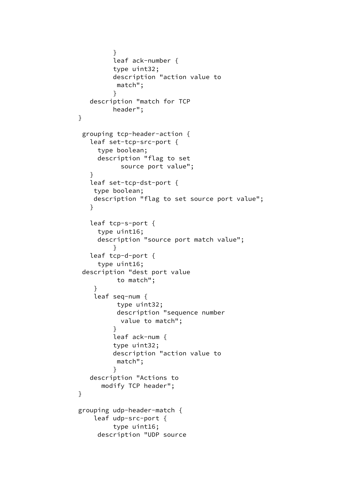```
 }
                  leaf ack-number {
                  type uint32;
                  description "action value to
                   match";
 }
             description "match for TCP
                  header";
 }
           grouping tcp-header-action {
             leaf set-tcp-src-port {
               type boolean;
               description "flag to set
                    source port value";
 }
             leaf set-tcp-dst-port {
              type boolean;
              description "flag to set source port value";
 }
             leaf tcp-s-port {
               type uint16;
               description "source port match value";
 }
             leaf tcp-d-port {
               type uint16;
           description "dest port value
                   to match";
 }
              leaf seq-num {
                   type uint32;
                   description "sequence number
                    value to match";
 }
                  leaf ack-num {
                  type uint32;
                  description "action value to
                   match";
 }
             description "Actions to
                modify TCP header";
 }
          grouping udp-header-match {
              leaf udp-src-port {
                  type uint16;
               description "UDP source
```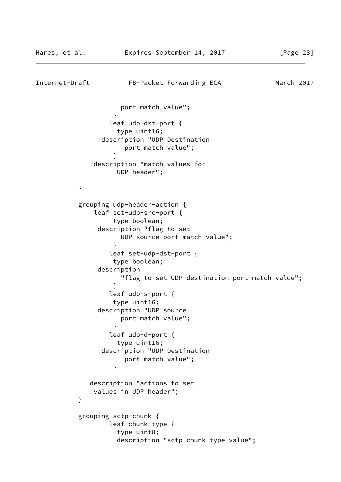```
Internet-Draft FB-Packet Forwarding ECA March 2017
                    port match value";
 }
                 leaf udp-dst-port {
                   type uint16;
                description "UDP Destination
                     port match value";
 }
              description "match values for
                   UDP header";
          }
          grouping udp-header-action {
              leaf set-udp-src-port {
                  type boolean;
               description "flag to set
                    UDP source port match value";
 }
                 leaf set-udp-dst-port {
                  type boolean;
               description
                    "flag to set UDP destination port match value";
 }
                 leaf udp-s-port {
                  type uint16;
               description "UDP source
                    port match value";
 }
                 leaf udp-d-port {
                   type uint16;
                description "UDP Destination
                     port match value";
 }
             description "actions to set
              values in UDP header";
 }
          grouping sctp-chunk {
                 leaf chunk-type {
                   type uint8;
                   description "sctp chunk type value";
```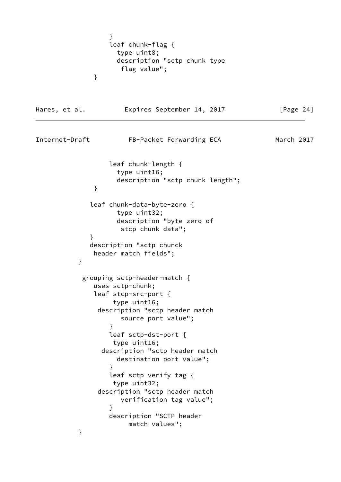```
 }
                 leaf chunk-flag {
                   type uint8;
                   description "sctp chunk type
                    flag value";
 }
Hares, et al. Expires September 14, 2017 [Page 24]
Internet-Draft FB-Packet Forwarding ECA March 2017
                 leaf chunk-length {
                   type uint16;
                   description "sctp chunk length";
 }
             leaf chunk-data-byte-zero {
                   type uint32;
                   description "byte zero of
                    stcp chunk data";
 }
             description "sctp chunck
              header match fields";
 }
           grouping sctp-header-match {
              uses sctp-chunk;
              leaf stcp-src-port {
                  type uint16;
              description "sctp header match
                    source port value";
 }
                 leaf sctp-dst-port {
                  type uint16;
               description "sctp header match
                   destination port value";
 }
                 leaf sctp-verify-tag {
                  type uint32;
               description "sctp header match
                    verification tag value";
 }
                 description "SCTP header
                     match values";
          }
```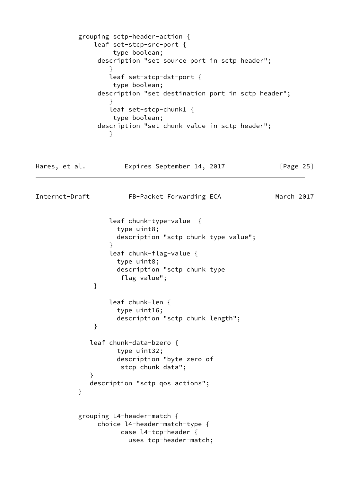```
 grouping sctp-header-action {
              leaf set-stcp-src-port {
                  type boolean;
               description "set source port in sctp header";
 }
                 leaf set-stcp-dst-port {
                  type boolean;
               description "set destination port in sctp header";
 }
                 leaf set-stcp-chunk1 {
                  type boolean;
               description "set chunk value in sctp header";
 }
Hares, et al. Expires September 14, 2017 [Page 25]
Internet-Draft FB-Packet Forwarding ECA March 2017
                 leaf chunk-type-value {
                   type uint8;
                   description "sctp chunk type value";
 }
                 leaf chunk-flag-value {
                   type uint8;
                   description "sctp chunk type
                    flag value";
 }
                 leaf chunk-len {
                   type uint16;
                   description "sctp chunk length";
 }
             leaf chunk-data-bzero {
                   type uint32;
                   description "byte zero of
                    stcp chunk data";
 }
             description "sctp qos actions";
 }
          grouping L4-header-match {
               choice l4-header-match-type {
                    case l4-tcp-header {
                      uses tcp-header-match;
```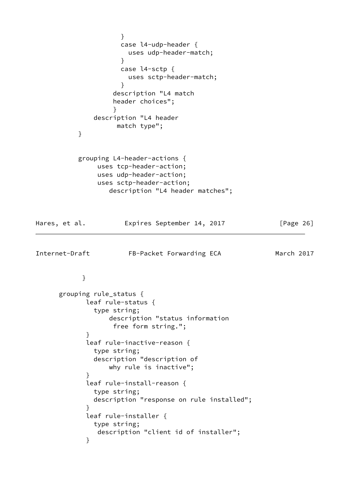```
 }
                   case l4-udp-header {
                     uses udp-header-match;
 }
                   case l4-sctp {
                     uses sctp-header-match;
 }
                  description "L4 match
                  header choices";
 }
             description "L4 header
                  match type";
          }
          grouping L4-header-actions {
              uses tcp-header-action;
              uses udp-header-action;
              uses sctp-header-action;
                 description "L4 header matches";
Hares, et al. Expires September 14, 2017 [Page 26]
Internet-Draft FB-Packet Forwarding ECA March 2017
 }
      grouping rule_status {
            leaf rule-status {
             type string;
                 description "status information
                  free form string.";
 }
            leaf rule-inactive-reason {
             type string;
             description "description of
                 why rule is inactive";
 }
            leaf rule-install-reason {
             type string;
             description "response on rule installed";
 }
            leaf rule-installer {
             type string;
              description "client id of installer";
 }
```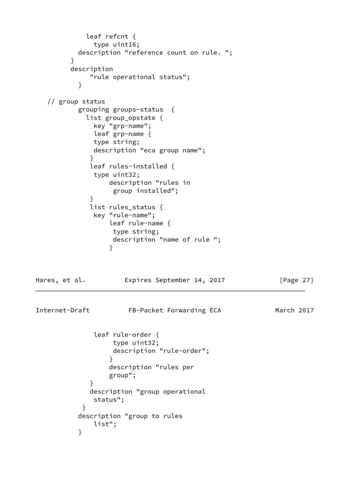```
 leaf refcnt {
              type uint16;
          description "reference count on rule. ";
 }
        description
            "rule operational status";
 }
   // group status
          grouping groups-status {
            list group_opstate {
              key "grp-name";
              leaf grp-name {
              type string;
              description "eca group name";
 }
             leaf rules-installed {
             type uint32;
                 description "rules in
                 group installed";
 }
             list rules_status {
              key "rule-name";
                 leaf rule-name {
                  type string;
                  description "name of rule ";
 }
Hares, et al. Expires September 14, 2017 [Page 27]
Internet-Draft FB-Packet Forwarding ECA March 2017
              leaf rule-order {
                  type uint32;
                  description "rule-order";
 }
                 description "rules per
                 group";
 }
             description "group operational
             status";
 }
          description "group to rules
              list";
 }
```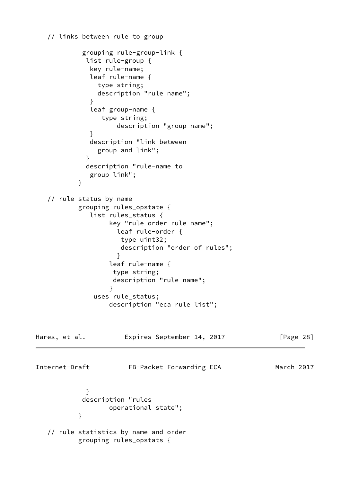```
 // links between rule to group
```

```
 grouping rule-group-link {
            list rule-group {
             key rule-name;
             leaf rule-name {
               type string;
               description "rule name";
 }
             leaf group-name {
               type string;
                   description "group name";
 }
             description "link between
               group and link";
 }
            description "rule-name to
             group link";
 }
   // rule status by name
          grouping rules_opstate {
             list rules_status {
                 key "rule-order rule-name";
                   leaf rule-order {
                    type uint32;
                    description "order of rules";
 }
                 leaf rule-name {
                  type string;
                  description "rule name";
 }
              uses rule_status;
                 description "eca rule list";
Hares, et al. Expires September 14, 2017 [Page 28]
Internet-Draft FB-Packet Forwarding ECA March 2017
 }
           description "rules
                 operational state";
 }
   // rule statistics by name and order
          grouping rules_opstats {
```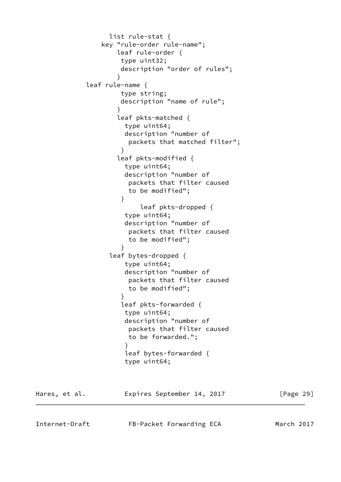```
 list rule-stat {
               key "rule-order rule-name";
                   leaf rule-order {
                    type uint32;
                    description "order of rules";
 }
            leaf rule-name {
                    type string;
                    description "name of rule";
 }
                   leaf pkts-matched {
                    type uint64;
                    description "number of
                     packets that matched filter";
 }
                   leaf pkts-modified {
                     type uint64;
                     description "number of
                     packets that filter caused
                     to be modified";
 }
                        leaf pkts-dropped {
                     type uint64;
                     description "number of
                     packets that filter caused
                     to be modified";
 }
                 leaf bytes-dropped {
                    type uint64;
                    description "number of
                     packets that filter caused
                     to be modified";
 }
                    leaf pkts-forwarded {
                     type uint64;
                     description "number of
                     packets that filter caused
                     to be forwarded.";
 }
                     leaf bytes-forwarded {
                     type uint64;
Hares, et al. Expires September 14, 2017 [Page 29]
Internet-Draft FB-Packet Forwarding ECA March 2017
```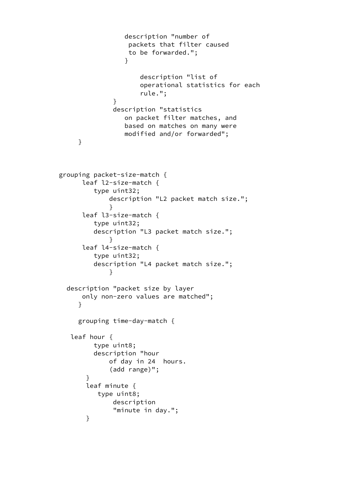```
 description "number of
                      packets that filter caused
                      to be forwarded.";
 }
                         description "list of
                         operational statistics for each
                         rule.";
 }
                   description "statistics
                     on packet filter matches, and
                     based on matches on many were
                     modified and/or forwarded";
          }
      grouping packet-size-match {
           leaf l2-size-match {
              type uint32;
                  description "L2 packet match size.";
 }
           leaf l3-size-match {
              type uint32;
              description "L3 packet match size.";
 }
           leaf l4-size-match {
              type uint32;
              description "L4 packet match size.";
 }
        description "packet size by layer
           only non-zero values are matched";
 }
          grouping time-day-match {
         leaf hour {
              type uint8;
              description "hour
                  of day in 24 hours.
                  (add range)";
 }
            leaf minute {
               type uint8;
                  description
                   "minute in day.";
 }
```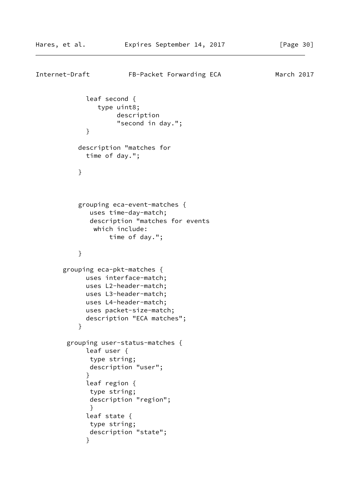```
Internet-Draft FB-Packet Forwarding ECA March 2017
             leaf second {
               type uint8;
                    description
                    "second in day.";
 }
           description "matches for
             time of day.";
 }
           grouping eca-event-matches {
             uses time-day-match;
             description "matches for events
              which include:
                  time of day.";
 }
       grouping eca-pkt-matches {
            uses interface-match;
            uses L2-header-match;
            uses L3-header-match;
            uses L4-header-match;
            uses packet-size-match;
            description "ECA matches";
 }
        grouping user-status-matches {
            leaf user {
             type string;
             description "user";
 }
             leaf region {
             type string;
             description "region";
 }
             leaf state {
             type string;
             description "state";
 }
```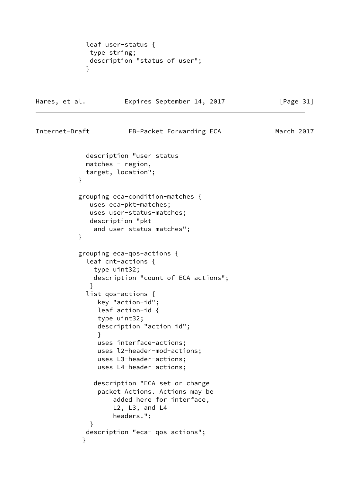```
 leaf user-status {
             type string;
             description "status of user";
 }
Hares, et al. Expires September 14, 2017 [Page 31]
Internet-Draft FB-Packet Forwarding ECA March 2017
            description "user status
            matches - region,
            target, location";
 }
           grouping eca-condition-matches {
             uses eca-pkt-matches;
             uses user-status-matches;
             description "pkt
              and user status matches";
 }
           grouping eca-qos-actions {
            leaf cnt-actions {
              type uint32;
              description "count of ECA actions";
 }
             list qos-actions {
               key "action-id";
               leaf action-id {
               type uint32;
               description "action id";
 }
               uses interface-actions;
               uses l2-header-mod-actions;
               uses L3-header-actions;
               uses L4-header-actions;
              description "ECA set or change
               packet Actions. Actions may be
                   added here for interface,
                   L2, L3, and L4
                   headers.";
 }
            description "eca- qos actions";
 }
```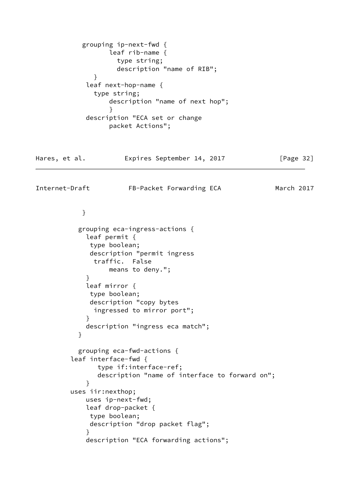```
 grouping ip-next-fwd {
                  leaf rib-name {
                   type string;
                   description "name of RIB";
 }
            leaf next-hop-name {
              type string;
                  description "name of next hop";
 }
            description "ECA set or change
                  packet Actions";
Hares, et al. Expires September 14, 2017 [Page 32]
Internet-Draft FB-Packet Forwarding ECA March 2017
 }
           grouping eca-ingress-actions {
            leaf permit {
             type boolean;
             description "permit ingress
              traffic. False
                 means to deny.";
 }
            leaf mirror {
             type boolean;
             description "copy bytes
              ingressed to mirror port";
 }
            description "ingress eca match";
 }
           grouping eca-fwd-actions {
         leaf interface-fwd {
               type if:interface-ref;
               description "name of interface to forward on";
 }
         uses iir:nexthop;
            uses ip-next-fwd;
            leaf drop-packet {
             type boolean;
             description "drop packet flag";
 }
            description "ECA forwarding actions";
```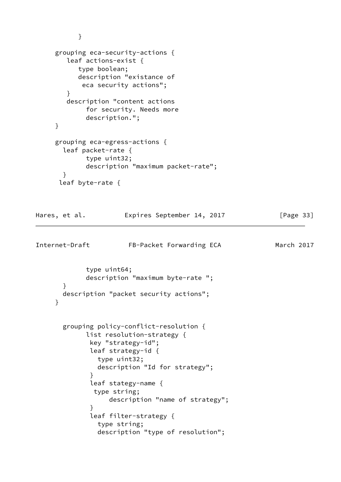```
 }
     grouping eca-security-actions {
        leaf actions-exist {
           type boolean;
           description "existance of
            eca security actions";
        }
        description "content actions
             for security. Needs more
             description.";
     }
     grouping eca-egress-actions {
       leaf packet-rate {
             type uint32;
             description "maximum packet-rate";
       }
      leaf byte-rate {
Hares, et al. Expires September 14, 2017 [Page 33]
Internet-Draft FB-Packet Forwarding ECA March 2017
             type uint64;
             description "maximum byte-rate ";
       }
       description "packet security actions";
     }
       grouping policy-conflict-resolution {
             list resolution-strategy {
              key "strategy-id";
              leaf strategy-id {
                type uint32;
                description "Id for strategy";
 }
              leaf stategy-name {
               type string;
                   description "name of strategy";
 }
              leaf filter-strategy {
                type string;
                description "type of resolution";
```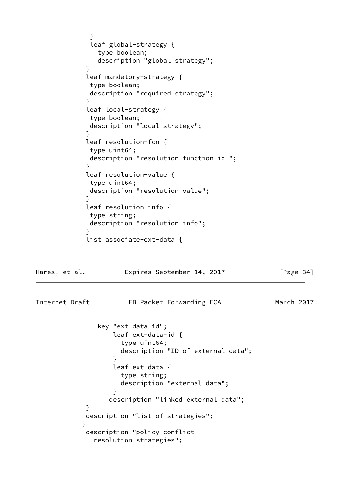```
 }
             leaf global-strategy {
              type boolean;
              description "global strategy";
 }
            leaf mandatory-strategy {
             type boolean;
             description "required strategy";
 }
            leaf local-strategy {
             type boolean;
             description "local strategy";
 }
            leaf resolution-fcn {
             type uint64;
             description "resolution function id ";
 }
            leaf resolution-value {
             type uint64;
             description "resolution value";
 }
            leaf resolution-info {
             type string;
             description "resolution info";
 }
            list associate-ext-data {
Hares, et al. Expires September 14, 2017 [Page 34]
Internet-Draft FB-Packet Forwarding ECA March 2017
              key "ext-data-id";
                  leaf ext-data-id {
                    type uint64;
                    description "ID of external data";
 }
                  leaf ext-data {
                    type string;
                    description "external data";
 }
                 description "linked external data";
 }
            description "list of strategies";
 }
            description "policy conflict
              resolution strategies";
```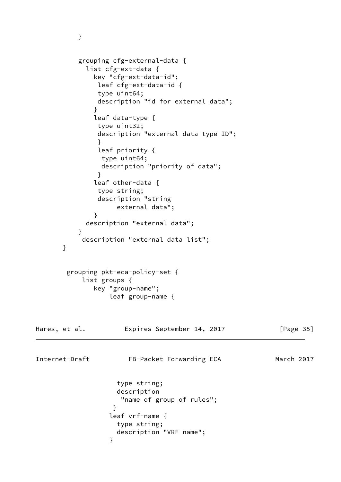```
 grouping cfg-external-data {
            list cfg-ext-data {
              key "cfg-ext-data-id";
               leaf cfg-ext-data-id {
               type uint64;
               description "id for external data";
 }
              leaf data-type {
               type uint32;
               description "external data type ID";
 }
               leaf priority {
               type uint64;
               description "priority of data";
 }
              leaf other-data {
               type string;
               description "string
                   external data";
 }
            description "external data";
 }
           description "external data list";
       }
        grouping pkt-eca-policy-set {
           list groups {
              key "group-name";
                 leaf group-name {
Hares, et al. Expires September 14, 2017 [Page 35]
Internet-Draft FB-Packet Forwarding ECA March 2017
                   type string;
                   description
                    "name of group of rules";
 }
                 leaf vrf-name {
                   type string;
                   description "VRF name";
 }
```
}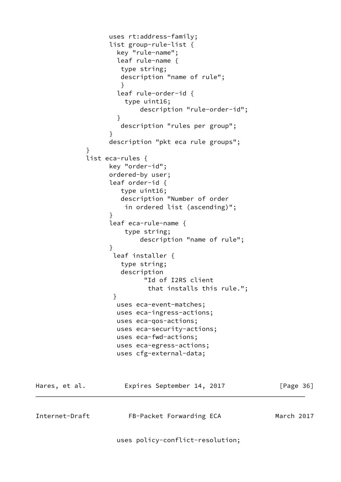```
 uses rt:address-family;
                  list group-rule-list {
                   key "rule-name";
                   leaf rule-name {
                    type string;
                    description "name of rule";
 }
                   leaf rule-order-id {
                     type uint16;
                        description "rule-order-id";
 }
                    description "rules per group";
 }
                 description "pkt eca rule groups";
 }
            list eca-rules {
                 key "order-id";
                 ordered-by user;
                 leaf order-id {
                    type uint16;
                    description "Number of order
                     in ordered list (ascending)";
 }
                  leaf eca-rule-name {
                     type string;
                        description "name of rule";
 }
                  leaf installer {
                    type string;
                    description
                         "Id of I2RS client
                          that installs this rule.";
 }
                   uses eca-event-matches;
                   uses eca-ingress-actions;
                   uses eca-qos-actions;
                   uses eca-security-actions;
                   uses eca-fwd-actions;
                   uses eca-egress-actions;
                   uses cfg-external-data;
Hares, et al. Expires September 14, 2017 [Page 36]
Internet-Draft FB-Packet Forwarding ECA March 2017
                   uses policy-conflict-resolution;
```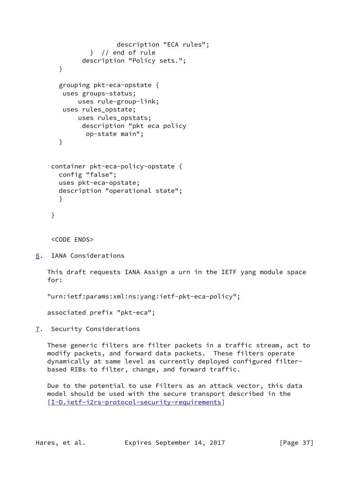```
 description "ECA rules";
            } // end of rule
         description "Policy sets.";
   }
   grouping pkt-eca-opstate {
    uses groups-status;
        uses rule-group-link;
    uses rules_opstate;
        uses rules_opstats;
         description "pkt eca policy
          op-state main";
   }
 container pkt-eca-policy-opstate {
   config "false";
   uses pkt-eca-opstate;
   description "operational state";
   }
 }
```
<CODE ENDS>

```
6. IANA Considerations
```
 This draft requests IANA Assign a urn in the IETF yang module space for:

"urn:ietf:params:xml:ns:yang:ietf-pkt-eca-policy";

associated prefix "pkt-eca";

<span id="page-41-1"></span>[7](#page-41-1). Security Considerations

 These generic filters are filter packets in a traffic stream, act to modify packets, and forward data packets. These filters operate dynamically at same level as currently deployed configured filter based RIBs to filter, change, and forward traffic.

 Due to the potential to use Filters as an attack vector, this data model should be used with the secure transport described in the [\[I-D.ietf-i2rs-protocol-security-requirements](#page-42-10)]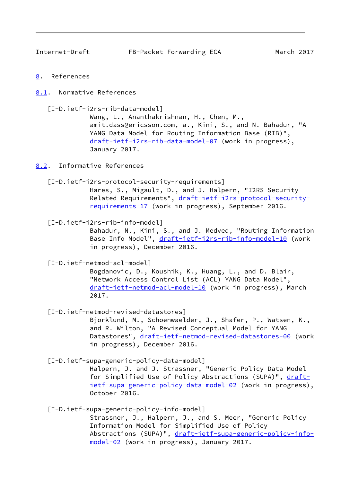<span id="page-42-1"></span>

Internet-Draft FB-Packet Forwarding ECA March 2017

- <span id="page-42-0"></span>[8](#page-42-0). References
- <span id="page-42-2"></span>[8.1](#page-42-2). Normative References

<span id="page-42-8"></span>[I-D.ietf-i2rs-rib-data-model]

 Wang, L., Ananthakrishnan, H., Chen, M., amit.dass@ericsson.com, a., Kini, S., and N. Bahadur, "A YANG Data Model for Routing Information Base (RIB)", [draft-ietf-i2rs-rib-data-model-07](https://datatracker.ietf.org/doc/pdf/draft-ietf-i2rs-rib-data-model-07) (work in progress), January 2017.

<span id="page-42-3"></span>[8.2](#page-42-3). Informative References

<span id="page-42-10"></span>[I-D.ietf-i2rs-protocol-security-requirements]

 Hares, S., Migault, D., and J. Halpern, "I2RS Security Related Requirements", [draft-ietf-i2rs-protocol-security](https://datatracker.ietf.org/doc/pdf/draft-ietf-i2rs-protocol-security-requirements-17) [requirements-17](https://datatracker.ietf.org/doc/pdf/draft-ietf-i2rs-protocol-security-requirements-17) (work in progress), September 2016.

<span id="page-42-9"></span>[I-D.ietf-i2rs-rib-info-model]

 Bahadur, N., Kini, S., and J. Medved, "Routing Information Base Info Model", [draft-ietf-i2rs-rib-info-model-10](https://datatracker.ietf.org/doc/pdf/draft-ietf-i2rs-rib-info-model-10) (work in progress), December 2016.

<span id="page-42-6"></span>[I-D.ietf-netmod-acl-model]

 Bogdanovic, D., Koushik, K., Huang, L., and D. Blair, "Network Access Control List (ACL) YANG Data Model", [draft-ietf-netmod-acl-model-10](https://datatracker.ietf.org/doc/pdf/draft-ietf-netmod-acl-model-10) (work in progress), March 2017.

<span id="page-42-7"></span>[I-D.ietf-netmod-revised-datastores]

 Bjorklund, M., Schoenwaelder, J., Shafer, P., Watsen, K., and R. Wilton, "A Revised Conceptual Model for YANG Datastores", [draft-ietf-netmod-revised-datastores-00](https://datatracker.ietf.org/doc/pdf/draft-ietf-netmod-revised-datastores-00)</u> (work in progress), December 2016.

<span id="page-42-4"></span>[I-D.ietf-supa-generic-policy-data-model]

 Halpern, J. and J. Strassner, "Generic Policy Data Model for Simplified Use of Policy Abstractions (SUPA)", [draft](https://datatracker.ietf.org/doc/pdf/draft-ietf-supa-generic-policy-data-model-02) [ietf-supa-generic-policy-data-model-02](https://datatracker.ietf.org/doc/pdf/draft-ietf-supa-generic-policy-data-model-02) (work in progress), October 2016.

<span id="page-42-5"></span>[I-D.ietf-supa-generic-policy-info-model]

 Strassner, J., Halpern, J., and S. Meer, "Generic Policy Information Model for Simplified Use of Policy Abstractions (SUPA)", [draft-ietf-supa-generic-policy-info](https://datatracker.ietf.org/doc/pdf/draft-ietf-supa-generic-policy-info-model-02) [model-02](https://datatracker.ietf.org/doc/pdf/draft-ietf-supa-generic-policy-info-model-02) (work in progress), January 2017.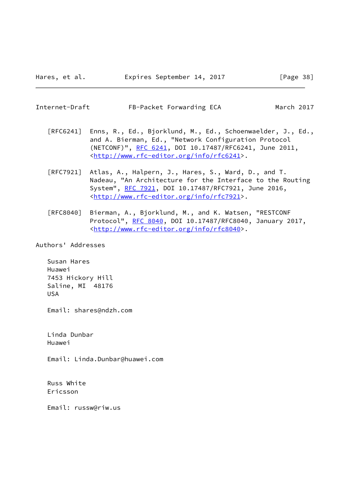<span id="page-43-0"></span>

|  | Internet-Draft | FB-Packet Forwarding ECA |
|--|----------------|--------------------------|
|--|----------------|--------------------------|

March 2017

- [RFC6241] Enns, R., Ed., Bjorklund, M., Ed., Schoenwaelder, J., Ed., and A. Bierman, Ed., "Network Configuration Protocol (NETCONF)", [RFC 6241,](https://datatracker.ietf.org/doc/pdf/rfc6241) DOI 10.17487/RFC6241, June 2011, <<http://www.rfc-editor.org/info/rfc6241>>.
- [RFC7921] Atlas, A., Halpern, J., Hares, S., Ward, D., and T. Nadeau, "An Architecture for the Interface to the Routing System", [RFC 7921,](https://datatracker.ietf.org/doc/pdf/rfc7921) DOI 10.17487/RFC7921, June 2016, <<http://www.rfc-editor.org/info/rfc7921>>.
- [RFC8040] Bierman, A., Bjorklund, M., and K. Watsen, "RESTCONF Protocol", [RFC 8040](https://datatracker.ietf.org/doc/pdf/rfc8040), DOI 10.17487/RFC8040, January 2017, <<http://www.rfc-editor.org/info/rfc8040>>.

Authors' Addresses

 Susan Hares Huawei 7453 Hickory Hill Saline, MI 48176 USA

Email: shares@ndzh.com

 Linda Dunbar Huawei

Email: Linda.Dunbar@huawei.com

 Russ White Ericsson

Email: russw@riw.us